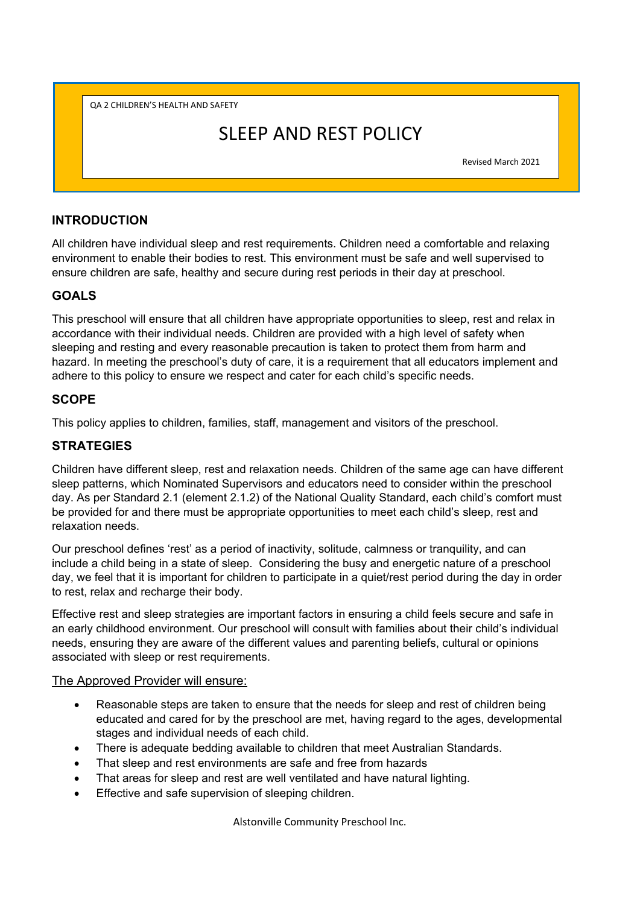QA 2 CHILDREN'S HEALTH AND SAFETY

# SLEEP AND REST POLICY

Revised March 2021

### **INTRODUCTION**

All children have individual sleep and rest requirements. Children need a comfortable and relaxing environment to enable their bodies to rest. This environment must be safe and well supervised to ensure children are safe, healthy and secure during rest periods in their day at preschool.

# **GOALS**

I

This preschool will ensure that all children have appropriate opportunities to sleep, rest and relax in accordance with their individual needs. Children are provided with a high level of safety when sleeping and resting and every reasonable precaution is taken to protect them from harm and hazard. In meeting the preschool's duty of care, it is a requirement that all educators implement and adhere to this policy to ensure we respect and cater for each child's specific needs.

### **SCOPE**

This policy applies to children, families, staff, management and visitors of the preschool.

# **STRATEGIES**

Children have different sleep, rest and relaxation needs. Children of the same age can have different sleep patterns, which Nominated Supervisors and educators need to consider within the preschool day. As per Standard 2.1 (element 2.1.2) of the National Quality Standard, each child's comfort must be provided for and there must be appropriate opportunities to meet each child's sleep, rest and relaxation needs.

Our preschool defines 'rest' as a period of inactivity, solitude, calmness or tranquility, and can include a child being in a state of sleep. Considering the busy and energetic nature of a preschool day, we feel that it is important for children to participate in a quiet/rest period during the day in order to rest, relax and recharge their body.

Effective rest and sleep strategies are important factors in ensuring a child feels secure and safe in an early childhood environment. Our preschool will consult with families about their child's individual needs, ensuring they are aware of the different values and parenting beliefs, cultural or opinions associated with sleep or rest requirements.

The Approved Provider will ensure:

- Reasonable steps are taken to ensure that the needs for sleep and rest of children being educated and cared for by the preschool are met, having regard to the ages, developmental stages and individual needs of each child.
- There is adequate bedding available to children that meet Australian Standards.
- That sleep and rest environments are safe and free from hazards
- That areas for sleep and rest are well ventilated and have natural lighting.
- Effective and safe supervision of sleeping children.

Alstonville Community Preschool Inc.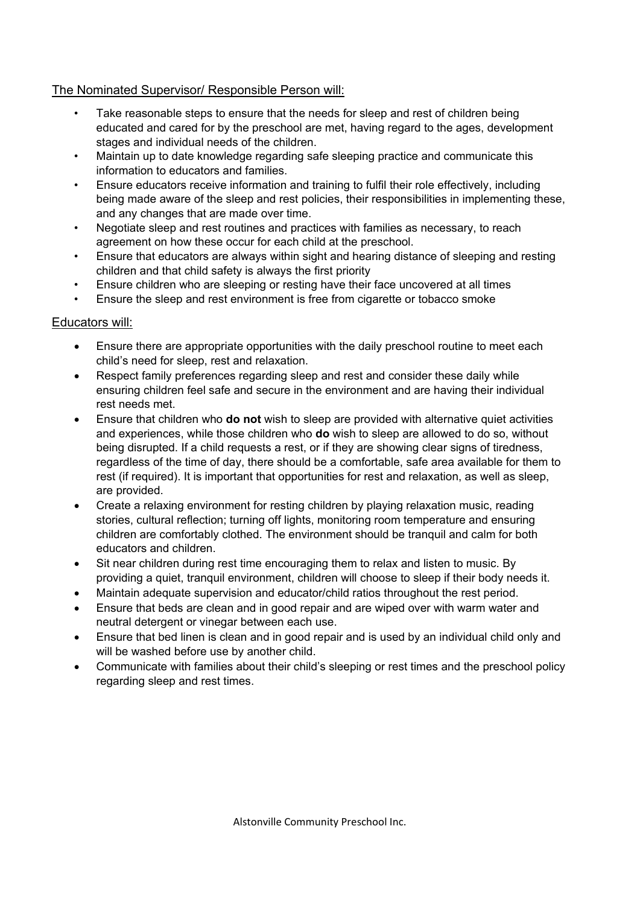# The Nominated Supervisor/ Responsible Person will:

- Take reasonable steps to ensure that the needs for sleep and rest of children being educated and cared for by the preschool are met, having regard to the ages, development stages and individual needs of the children.
- Maintain up to date knowledge regarding safe sleeping practice and communicate this information to educators and families.
- Ensure educators receive information and training to fulfil their role effectively, including being made aware of the sleep and rest policies, their responsibilities in implementing these, and any changes that are made over time.
- Negotiate sleep and rest routines and practices with families as necessary, to reach agreement on how these occur for each child at the preschool.
- Ensure that educators are always within sight and hearing distance of sleeping and resting children and that child safety is always the first priority
- Ensure children who are sleeping or resting have their face uncovered at all times
- Ensure the sleep and rest environment is free from cigarette or tobacco smoke

#### Educators will:

- Ensure there are appropriate opportunities with the daily preschool routine to meet each child's need for sleep, rest and relaxation.
- Respect family preferences regarding sleep and rest and consider these daily while ensuring children feel safe and secure in the environment and are having their individual rest needs met.
- Ensure that children who **do not** wish to sleep are provided with alternative quiet activities and experiences, while those children who **do** wish to sleep are allowed to do so, without being disrupted. If a child requests a rest, or if they are showing clear signs of tiredness, regardless of the time of day, there should be a comfortable, safe area available for them to rest (if required). It is important that opportunities for rest and relaxation, as well as sleep, are provided.
- Create a relaxing environment for resting children by playing relaxation music, reading stories, cultural reflection; turning off lights, monitoring room temperature and ensuring children are comfortably clothed. The environment should be tranquil and calm for both educators and children.
- Sit near children during rest time encouraging them to relax and listen to music. By providing a quiet, tranquil environment, children will choose to sleep if their body needs it.
- Maintain adequate supervision and educator/child ratios throughout the rest period.
- Ensure that beds are clean and in good repair and are wiped over with warm water and neutral detergent or vinegar between each use.
- Ensure that bed linen is clean and in good repair and is used by an individual child only and will be washed before use by another child.
- Communicate with families about their child's sleeping or rest times and the preschool policy regarding sleep and rest times.